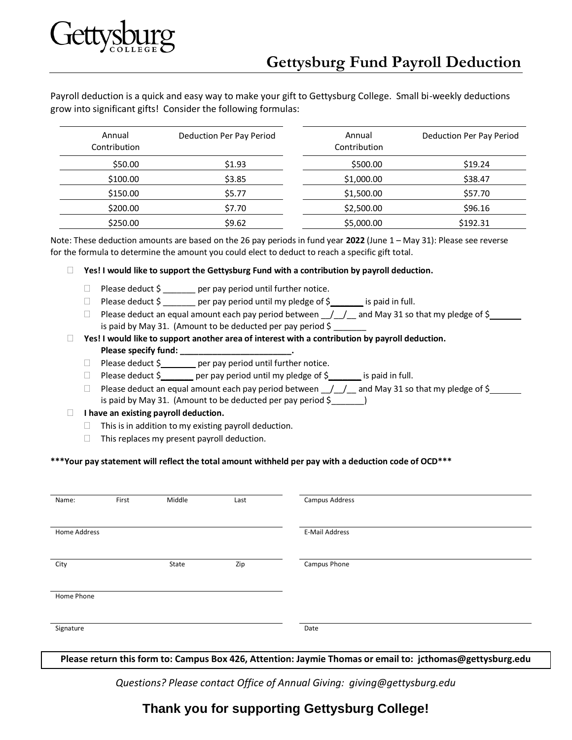Payroll deduction is a quick and easy way to make your gift to Gettysburg College. Small bi-weekly deductions grow into significant gifts! Consider the following formulas:

| Annual<br>Contribution | Deduction Per Pay Period | Annual<br>Contribution | Deduction Per Pay Period |  |
|------------------------|--------------------------|------------------------|--------------------------|--|
| \$50.00                | \$1.93                   | \$500.00               | \$19.24                  |  |
| \$100.00               | \$3.85                   | \$1,000.00             | \$38.47                  |  |
| \$150.00               | \$5.77                   | \$1,500.00             | \$57.70                  |  |
| \$200.00               | \$7.70                   | \$2,500.00             | \$96.16                  |  |
| \$250.00               | \$9.62                   | \$5,000.00             | \$192.31                 |  |

Note: These deduction amounts are based on the 26 pay periods in fund year **2022** (June 1 – May 31): Please see reverse for the formula to determine the amount you could elect to deduct to reach a specific gift total.

**Yes! I would like to support the Gettysburg Fund with a contribution by payroll deduction.**

- $\Box$  Please deduct  $\Diamond$  per pay period until further notice.
- $\Box$  Please deduct  $\Diamond$  \_\_\_\_\_\_\_ per pay period until my pledge of  $\Diamond$  \_\_\_\_\_\_\_ is paid in full.
- $\Box$  Please deduct an equal amount each pay period between  $\Box/\Box/\Box$  and May 31 so that my pledge of \$ is paid by May 31. (Amount to be deducted per pay period  $\frac{1}{2}$
- **Yes! I would like to support another area of interest with a contribution by payroll deduction.**  Please specify fund: \_\_\_\_\_\_
	- $\Box$  Please deduct  $\zeta$  er pay period until further notice.
	- $\Box$  Please deduct \$\_\_\_\_\_\_\_ per pay period until my pledge of \$\_\_\_\_\_\_ is paid in full.
	- $\Box$  Please deduct an equal amount each pay period between  $\Box/\Box/$  and May 31 so that my pledge of \$ is paid by May 31. (Amount to be deducted per pay period \$\_\_\_\_\_\_\_)

## **I** l have an existing payroll deduction.

- $\Box$  This is in addition to my existing payroll deduction.
- $\Box$  This replaces my present payroll deduction.

## **\*\*\*Your pay statement will reflect the total amount withheld per pay with a deduction code of OCD\*\*\***

| Name:        | First | Middle | Last | Campus Address |  |
|--------------|-------|--------|------|----------------|--|
| Home Address |       |        |      | E-Mail Address |  |
| City         |       | State  | Zip  | Campus Phone   |  |
| Home Phone   |       |        |      |                |  |
| Signature    |       |        |      | Date           |  |

**Please return this form to: Campus Box 426, Attention: Jaymie Thomas or email to: jcthomas@gettysburg.edu**

*Questions? Please contact Office of Annual Giving: giving@gettysburg.edu*

## **Thank you for supporting Gettysburg College!**